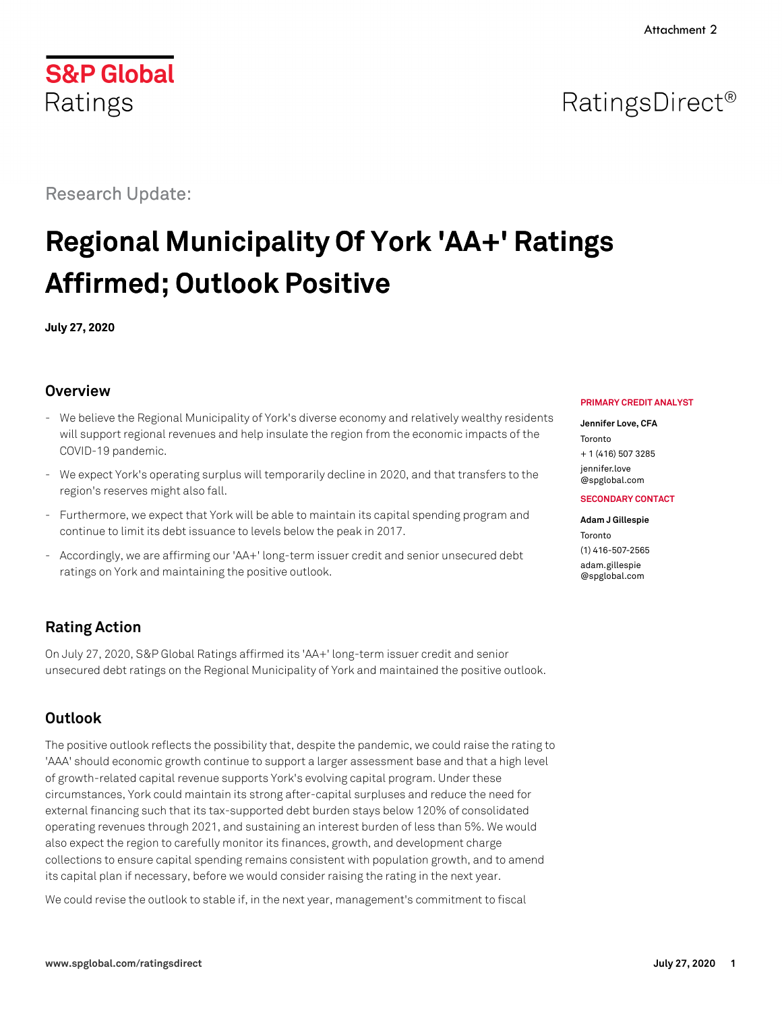## RatingsDirect<sup>®</sup>

Research Update:

# **Regional Municipality Of York 'AA+' Ratings Affirmed; Outlook Positive**

**July 27, 2020**

## **Overview**

- We believe the Regional Municipality of York's diverse economy and relatively wealthy residents will support regional revenues and help insulate the region from the economic impacts of the COVID-19 pandemic.
- We expect York's operating surplus will temporarily decline in 2020, and that transfers to the region's reserves might also fall.
- Furthermore, we expect that York will be able to maintain its capital spending program and continue to limit its debt issuance to levels below the peak in 2017.
- Accordingly, we are affirming our 'AA+' long-term issuer credit and senior unsecured debt ratings on York and maintaining the positive outlook.

## **Rating Action**

On July 27, 2020, S&P Global Ratings affirmed its 'AA+' long-term issuer credit and senior unsecured debt ratings on the Regional Municipality of York and maintained the positive outlook.

## **Outlook**

The positive outlook reflects the possibility that, despite the pandemic, we could raise the rating to 'AAA' should economic growth continue to support a larger assessment base and that a high level of growth-related capital revenue supports York's evolving capital program. Under these circumstances, York could maintain its strong after-capital surpluses and reduce the need for external financing such that its tax-supported debt burden stays below 120% of consolidated operating revenues through 2021, and sustaining an interest burden of less than 5%. We would also expect the region to carefully monitor its finances, growth, and development charge collections to ensure capital spending remains consistent with population growth, and to amend its capital plan if necessary, before we would consider raising the rating in the next year.

We could revise the outlook to stable if, in the next year, management's commitment to fiscal

#### **PRIMARY CREDIT ANALYST**

#### **Jennifer Love, CFA**

Toronto + 1 (416) 507 3285 iennifer.love

[@spglobal.com](mailto:jennifer.love@spglobal.com) **SECONDARY CONTACT**

## **Adam J Gillespie**

Toronto (1) 416-507-2565 [adam.gillespie](mailto:adam.gillespie@spglobal.com) [@spglobal.com](mailto:adam.gillespie@spglobal.com)

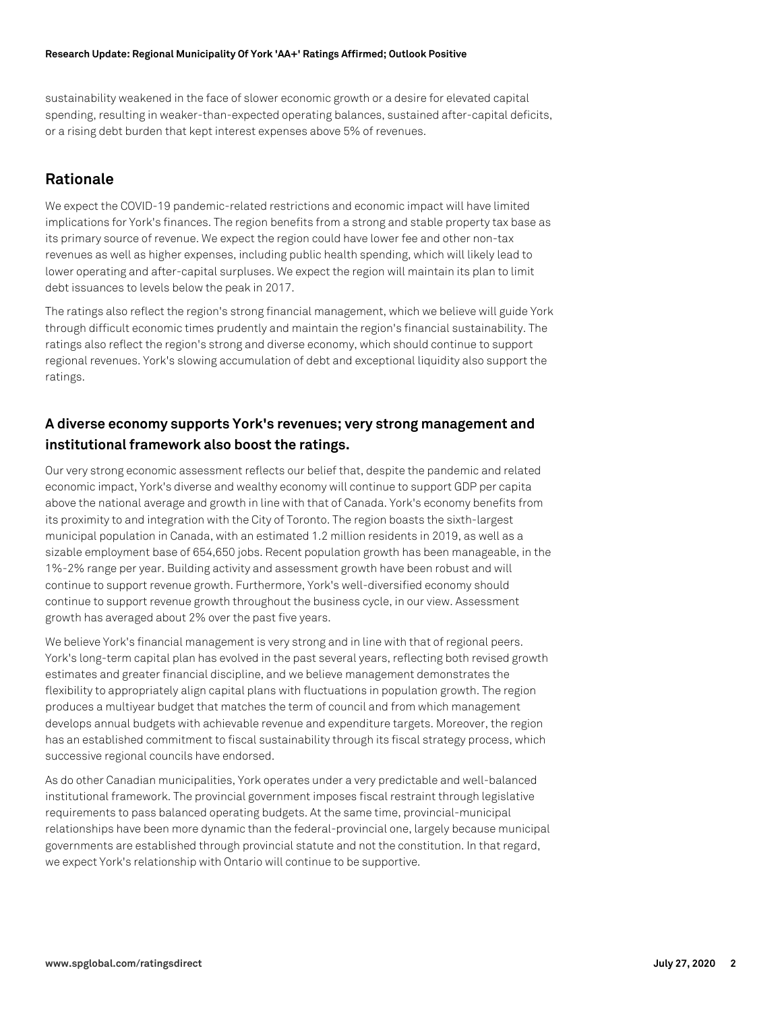sustainability weakened in the face of slower economic growth or a desire for elevated capital spending, resulting in weaker-than-expected operating balances, sustained after-capital deficits, or a rising debt burden that kept interest expenses above 5% of revenues.

## **Rationale**

We expect the COVID-19 pandemic-related restrictions and economic impact will have limited implications for York's finances. The region benefits from a strong and stable property tax base as its primary source of revenue. We expect the region could have lower fee and other non-tax revenues as well as higher expenses, including public health spending, which will likely lead to lower operating and after-capital surpluses. We expect the region will maintain its plan to limit debt issuances to levels below the peak in 2017.

The ratings also reflect the region's strong financial management, which we believe will guide York through difficult economic times prudently and maintain the region's financial sustainability. The ratings also reflect the region's strong and diverse economy, which should continue to support regional revenues. York's slowing accumulation of debt and exceptional liquidity also support the ratings.

## **A diverse economy supports York's revenues; very strong management and institutional framework also boost the ratings.**

Our very strong economic assessment reflects our belief that, despite the pandemic and related economic impact, York's diverse and wealthy economy will continue to support GDP per capita above the national average and growth in line with that of Canada. York's economy benefits from its proximity to and integration with the City of Toronto. The region boasts the sixth-largest municipal population in Canada, with an estimated 1.2 million residents in 2019, as well as a sizable employment base of 654,650 jobs. Recent population growth has been manageable, in the 1%-2% range per year. Building activity and assessment growth have been robust and will continue to support revenue growth. Furthermore, York's well-diversified economy should continue to support revenue growth throughout the business cycle, in our view. Assessment growth has averaged about 2% over the past five years.

We believe York's financial management is very strong and in line with that of regional peers. York's long-term capital plan has evolved in the past several years, reflecting both revised growth estimates and greater financial discipline, and we believe management demonstrates the flexibility to appropriately align capital plans with fluctuations in population growth. The region produces a multiyear budget that matches the term of council and from which management develops annual budgets with achievable revenue and expenditure targets. Moreover, the region has an established commitment to fiscal sustainability through its fiscal strategy process, which successive regional councils have endorsed.

As do other Canadian municipalities, York operates under a very predictable and well-balanced institutional framework. The provincial government imposes fiscal restraint through legislative requirements to pass balanced operating budgets. At the same time, provincial-municipal relationships have been more dynamic than the federal-provincial one, largely because municipal governments are established through provincial statute and not the constitution. In that regard, we expect York's relationship with Ontario will continue to be supportive.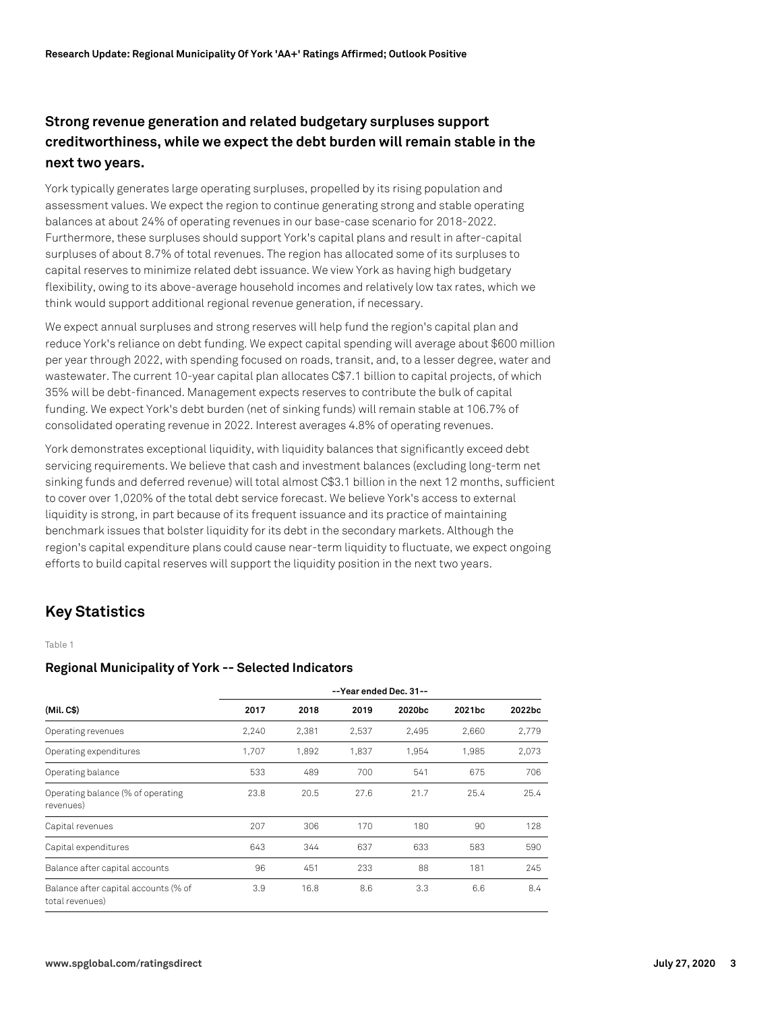## **Strong revenue generation and related budgetary surpluses support creditworthiness, while we expect the debt burden will remain stable in the next two years.**

York typically generates large operating surpluses, propelled by its rising population and assessment values. We expect the region to continue generating strong and stable operating balances at about 24% of operating revenues in our base-case scenario for 2018-2022. Furthermore, these surpluses should support York's capital plans and result in after-capital surpluses of about 8.7% of total revenues. The region has allocated some of its surpluses to capital reserves to minimize related debt issuance. We view York as having high budgetary flexibility, owing to its above-average household incomes and relatively low tax rates, which we think would support additional regional revenue generation, if necessary.

We expect annual surpluses and strong reserves will help fund the region's capital plan and reduce York's reliance on debt funding. We expect capital spending will average about \$600 million per year through 2022, with spending focused on roads, transit, and, to a lesser degree, water and wastewater. The current 10-year capital plan allocates C\$7.1 billion to capital projects, of which 35% will be debt-financed. Management expects reserves to contribute the bulk of capital funding. We expect York's debt burden (net of sinking funds) will remain stable at 106.7% of consolidated operating revenue in 2022. Interest averages 4.8% of operating revenues.

York demonstrates exceptional liquidity, with liquidity balances that significantly exceed debt servicing requirements. We believe that cash and investment balances (excluding long-term net sinking funds and deferred revenue) will total almost C\$3.1 billion in the next 12 months, sufficient to cover over 1,020% of the total debt service forecast. We believe York's access to external liquidity is strong, in part because of its frequent issuance and its practice of maintaining benchmark issues that bolster liquidity for its debt in the secondary markets. Although the region's capital expenditure plans could cause near-term liquidity to fluctuate, we expect ongoing efforts to build capital reserves will support the liquidity position in the next two years.

## **Key Statistics**

#### Table 1

#### **Regional Municipality of York -- Selected Indicators**

|                                                         | --Year ended Dec. 31-- |       |       |        |        |        |  |
|---------------------------------------------------------|------------------------|-------|-------|--------|--------|--------|--|
| (Mil. C\$)                                              | 2017                   | 2018  | 2019  | 2020bc | 2021bc | 2022bc |  |
| Operating revenues                                      | 2.240                  | 2.381 | 2,537 | 2.495  | 2.660  | 2.779  |  |
| Operating expenditures                                  | 1,707                  | 1,892 | 1,837 | 1,954  | 1,985  | 2,073  |  |
| Operating balance                                       | 533                    | 489   | 700   | 541    | 675    | 706    |  |
| Operating balance (% of operating<br>revenues)          | 23.8                   | 20.5  | 27.6  | 21.7   | 25.4   | 25.4   |  |
| Capital revenues                                        | 207                    | 306   | 170   | 180    | 90     | 128    |  |
| Capital expenditures                                    | 643                    | 344   | 637   | 633    | 583    | 590    |  |
| Balance after capital accounts                          | 96                     | 451   | 233   | 88     | 181    | 245    |  |
| Balance after capital accounts (% of<br>total revenues) | 3.9                    | 16.8  | 8.6   | 3.3    | 6.6    | 8.4    |  |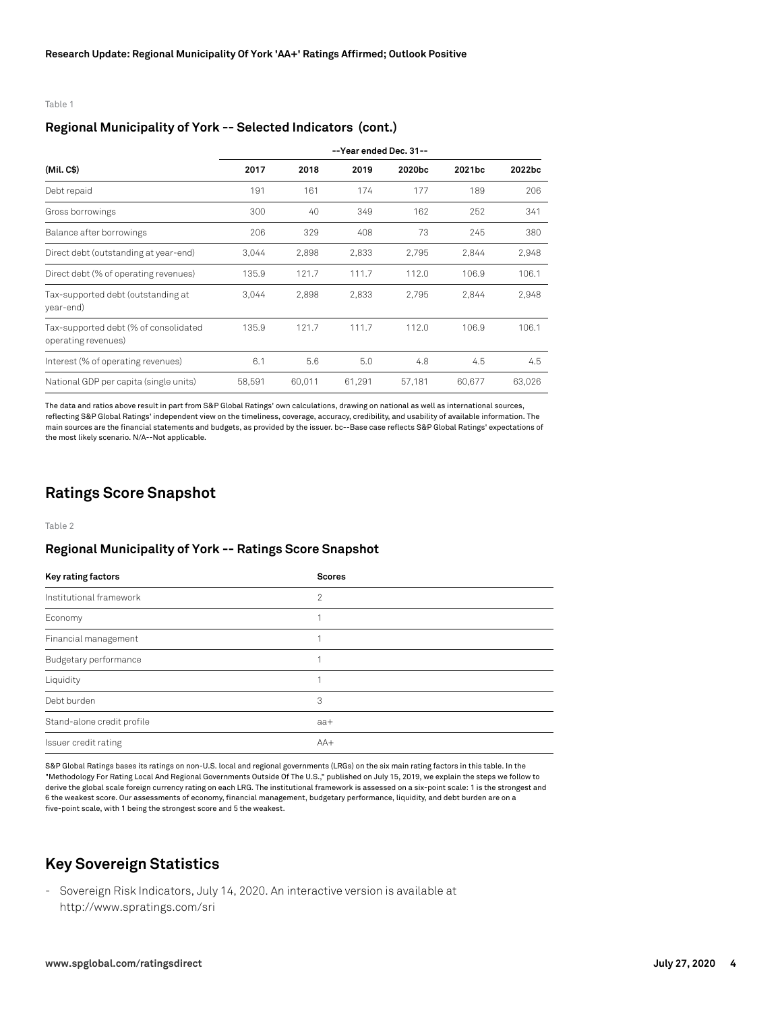Table 1

#### **Regional Municipality of York -- Selected Indicators (cont.)**

|                                                              | --Year ended Dec. 31-- |        |        |        |        |        |  |
|--------------------------------------------------------------|------------------------|--------|--------|--------|--------|--------|--|
| (Mil. C\$)                                                   | 2017                   | 2018   | 2019   | 2020bc | 2021bc | 2022bc |  |
| Debt repaid                                                  | 191                    | 161    | 174    | 177    | 189    | 206    |  |
| Gross borrowings                                             | 300                    | 40     | 349    | 162    | 252    | 341    |  |
| Balance after borrowings                                     | 206                    | 329    | 408    | 73     | 245    | 380    |  |
| Direct debt (outstanding at year-end)                        | 3,044                  | 2,898  | 2,833  | 2,795  | 2,844  | 2,948  |  |
| Direct debt (% of operating revenues)                        | 135.9                  | 121.7  | 111.7  | 112.0  | 106.9  | 106.1  |  |
| Tax-supported debt (outstanding at<br>year-end)              | 3,044                  | 2,898  | 2,833  | 2.795  | 2,844  | 2,948  |  |
| Tax-supported debt (% of consolidated<br>operating revenues) | 135.9                  | 121.7  | 111.7  | 112.0  | 106.9  | 106.1  |  |
| Interest (% of operating revenues)                           | 6.1                    | 5.6    | 5.0    | 4.8    | 4.5    | 4.5    |  |
| National GDP per capita (single units)                       | 58,591                 | 60,011 | 61,291 | 57,181 | 60.677 | 63,026 |  |

The data and ratios above result in part from S&P Global Ratings' own calculations, drawing on national as well as international sources, reflecting S&P Global Ratings' independent view on the timeliness, coverage, accuracy, credibility, and usability of available information. The main sources are the financial statements and budgets, as provided by the issuer. bc--Base case reflects S&P Global Ratings' expectations of the most likely scenario. N/A--Not applicable.

## **Ratings Score Snapshot**

Table 2

#### **Regional Municipality of York -- Ratings Score Snapshot**

| Key rating factors         | <b>Scores</b>  |
|----------------------------|----------------|
| Institutional framework    | $\overline{2}$ |
| Economy                    | 4              |
| Financial management       | и              |
| Budgetary performance      |                |
| Liquidity                  |                |
| Debt burden                | 3              |
| Stand-alone credit profile | $aa+$          |
| Issuer credit rating       | $AA+$          |

S&P Global Ratings bases its ratings on non-U.S. local and regional governments (LRGs) on the six main rating factors in this table. In the "Methodology For Rating Local And Regional Governments Outside Of The U.S.," published on July 15, 2019, we explain the steps we follow to derive the global scale foreign currency rating on each LRG. The institutional framework is assessed on a six-point scale: 1 is the strongest and 6 the weakest score. Our assessments of economy, financial management, budgetary performance, liquidity, and debt burden are on a five-point scale, with 1 being the strongest score and 5 the weakest.

## **Key Sovereign Statistics**

- Sovereign Risk Indicators, July 14, 2020. An interactive version is available at http://www.spratings.com/sri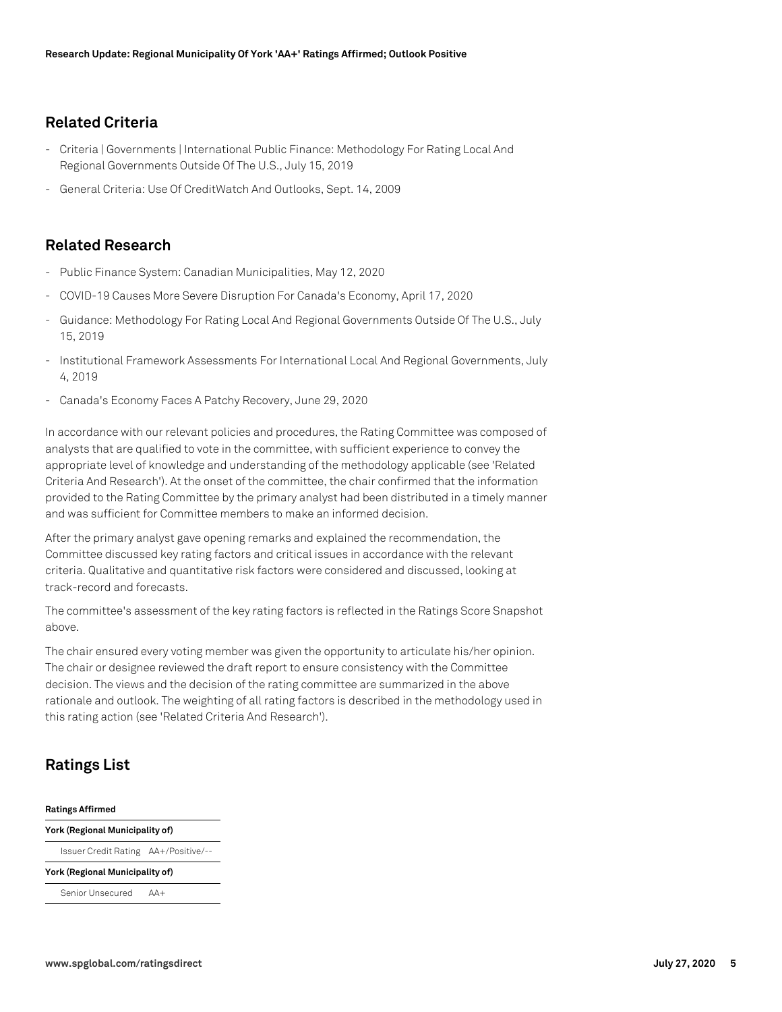## **Related Criteria**

- Criteria | Governments | International Public Finance: Methodology For Rating Local And Regional Governments Outside Of The U.S., July 15, 2019
- General Criteria: Use Of CreditWatch And Outlooks, Sept. 14, 2009

## **Related Research**

- Public Finance System: Canadian Municipalities, May 12, 2020
- COVID-19 Causes More Severe Disruption For Canada's Economy, April 17, 2020
- Guidance: Methodology For Rating Local And Regional Governments Outside Of The U.S., July 15, 2019
- Institutional Framework Assessments For International Local And Regional Governments, July 4, 2019
- Canada's Economy Faces A Patchy Recovery, June 29, 2020

In accordance with our relevant policies and procedures, the Rating Committee was composed of analysts that are qualified to vote in the committee, with sufficient experience to convey the appropriate level of knowledge and understanding of the methodology applicable (see 'Related Criteria And Research'). At the onset of the committee, the chair confirmed that the information provided to the Rating Committee by the primary analyst had been distributed in a timely manner and was sufficient for Committee members to make an informed decision.

After the primary analyst gave opening remarks and explained the recommendation, the Committee discussed key rating factors and critical issues in accordance with the relevant criteria. Qualitative and quantitative risk factors were considered and discussed, looking at track-record and forecasts.

The committee's assessment of the key rating factors is reflected in the Ratings Score Snapshot above.

The chair ensured every voting member was given the opportunity to articulate his/her opinion. The chair or designee reviewed the draft report to ensure consistency with the Committee decision. The views and the decision of the rating committee are summarized in the above rationale and outlook. The weighting of all rating factors is described in the methodology used in this rating action (see 'Related Criteria And Research').

## **Ratings List**

#### **Ratings Affirmed**

**York (Regional Municipality of)** Issuer Credit Rating AA+/Positive/--

**York (Regional Municipality of)**

Senior Unsecured AA+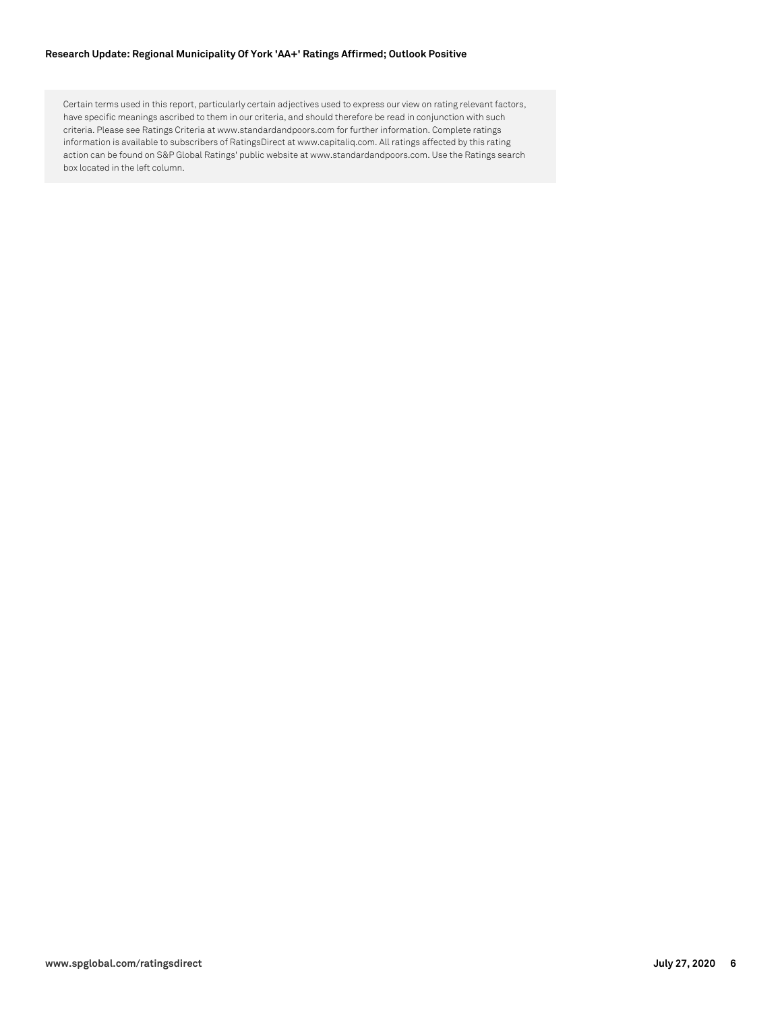#### **Research Update: Regional Municipality Of York 'AA+' Ratings Affirmed; Outlook Positive**

Certain terms used in this report, particularly certain adjectives used to express our view on rating relevant factors, have specific meanings ascribed to them in our criteria, and should therefore be read in conjunction with such criteria. Please see Ratings Criteria at www.standardandpoors.com for further information. Complete ratings information is available to subscribers of RatingsDirect at www.capitaliq.com. All ratings affected by this rating action can be found on S&P Global Ratings' public website at www.standardandpoors.com. Use the Ratings search box located in the left column.